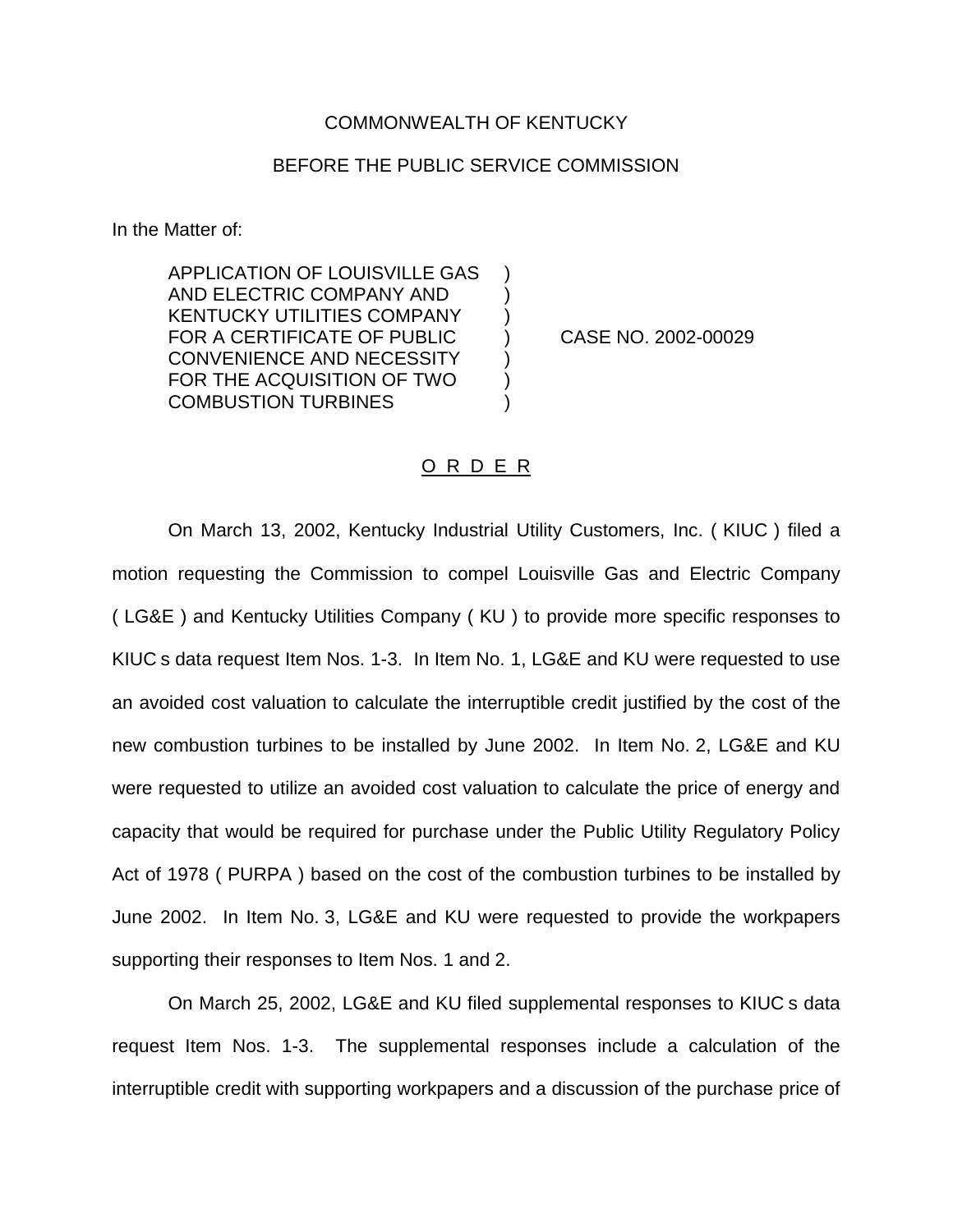## COMMONWEALTH OF KENTUCKY

## BEFORE THE PUBLIC SERVICE COMMISSION

In the Matter of:

APPLICATION OF LOUISVILLE GAS ) AND ELECTRIC COMPANY AND ) KENTUCKY UTILITIES COMPANY ) FOR A CERTIFICATE OF PUBLIC ) CASE NO. 2002-00029 CONVENIENCE AND NECESSITY FOR THE ACQUISITION OF TWO ) COMBUSTION TURBINES (2002)

## O R D E R

On March 13, 2002, Kentucky Industrial Utility Customers, Inc. ( KIUC ) filed a motion requesting the Commission to compel Louisville Gas and Electric Company ( LG&E ) and Kentucky Utilities Company ( KU ) to provide more specific responses to KIUC s data request Item Nos. 1-3. In Item No. 1, LG&E and KU were requested to use an avoided cost valuation to calculate the interruptible credit justified by the cost of the new combustion turbines to be installed by June 2002. In Item No. 2, LG&E and KU were requested to utilize an avoided cost valuation to calculate the price of energy and capacity that would be required for purchase under the Public Utility Regulatory Policy Act of 1978 ( PURPA ) based on the cost of the combustion turbines to be installed by June 2002. In Item No. 3, LG&E and KU were requested to provide the workpapers supporting their responses to Item Nos. 1 and 2.

On March 25, 2002, LG&E and KU filed supplemental responses to KIUC s data request Item Nos. 1-3. The supplemental responses include a calculation of the interruptible credit with supporting workpapers and a discussion of the purchase price of